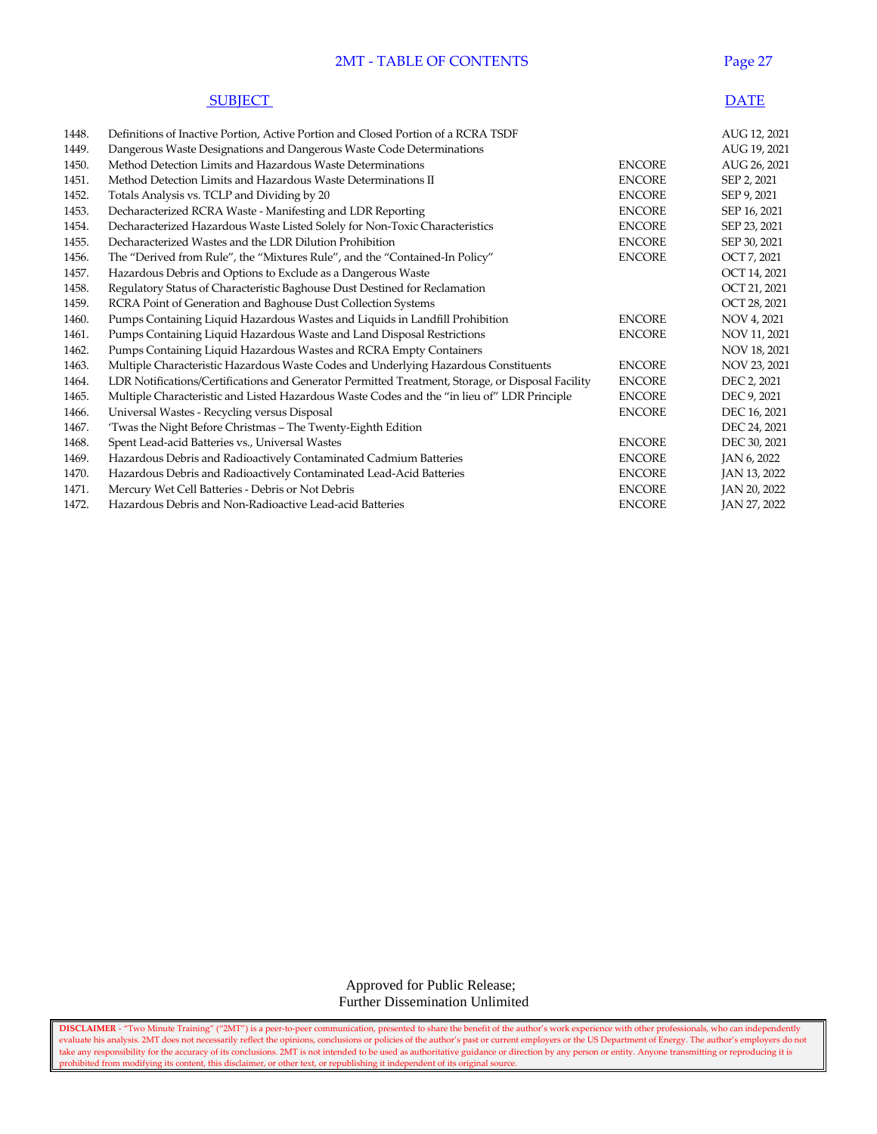# **2MT - TABLE OF CONTENTS Page 27**

| <b>SUBJECT</b> | <b>DATE</b> |
|----------------|-------------|
|----------------|-------------|

| 1448. | Definitions of Inactive Portion, Active Portion and Closed Portion of a RCRA TSDF                 |               | AUG 12, 2021 |
|-------|---------------------------------------------------------------------------------------------------|---------------|--------------|
| 1449. | Dangerous Waste Designations and Dangerous Waste Code Determinations                              |               | AUG 19, 2021 |
| 1450. | Method Detection Limits and Hazardous Waste Determinations                                        | <b>ENCORE</b> | AUG 26, 2021 |
| 1451. | Method Detection Limits and Hazardous Waste Determinations II                                     | <b>ENCORE</b> | SEP 2, 2021  |
| 1452. | Totals Analysis vs. TCLP and Dividing by 20                                                       | <b>ENCORE</b> | SEP 9, 2021  |
| 1453. | Decharacterized RCRA Waste - Manifesting and LDR Reporting                                        | <b>ENCORE</b> | SEP 16, 2021 |
| 1454. | Decharacterized Hazardous Waste Listed Solely for Non-Toxic Characteristics                       | <b>ENCORE</b> | SEP 23, 2021 |
| 1455. | Decharacterized Wastes and the LDR Dilution Prohibition                                           | <b>ENCORE</b> | SEP 30, 2021 |
| 1456. | The "Derived from Rule", the "Mixtures Rule", and the "Contained-In Policy"                       | <b>ENCORE</b> | OCT 7, 2021  |
| 1457. | Hazardous Debris and Options to Exclude as a Dangerous Waste                                      |               | OCT 14, 2021 |
| 1458. | Regulatory Status of Characteristic Baghouse Dust Destined for Reclamation                        |               | OCT 21, 2021 |
| 1459. | RCRA Point of Generation and Baghouse Dust Collection Systems                                     |               | OCT 28, 2021 |
| 1460. | Pumps Containing Liquid Hazardous Wastes and Liquids in Landfill Prohibition                      | <b>ENCORE</b> | NOV 4, 2021  |
| 1461. | Pumps Containing Liquid Hazardous Waste and Land Disposal Restrictions                            | <b>ENCORE</b> | NOV 11, 2021 |
| 1462. | Pumps Containing Liquid Hazardous Wastes and RCRA Empty Containers                                |               | NOV 18, 2021 |
| 1463. | Multiple Characteristic Hazardous Waste Codes and Underlying Hazardous Constituents               | <b>ENCORE</b> | NOV 23, 2021 |
| 1464. | LDR Notifications/Certifications and Generator Permitted Treatment, Storage, or Disposal Facility | <b>ENCORE</b> | DEC 2, 2021  |
| 1465. | Multiple Characteristic and Listed Hazardous Waste Codes and the "in lieu of" LDR Principle       | <b>ENCORE</b> | DEC 9, 2021  |
| 1466. | Universal Wastes - Recycling versus Disposal                                                      | <b>ENCORE</b> | DEC 16, 2021 |
| 1467. | 'Twas the Night Before Christmas - The Twenty-Eighth Edition                                      |               | DEC 24, 2021 |
| 1468. | Spent Lead-acid Batteries vs., Universal Wastes                                                   | <b>ENCORE</b> | DEC 30, 2021 |
| 1469. | Hazardous Debris and Radioactively Contaminated Cadmium Batteries                                 | <b>ENCORE</b> | JAN 6, 2022  |
| 1470. | Hazardous Debris and Radioactively Contaminated Lead-Acid Batteries                               | <b>ENCORE</b> | JAN 13, 2022 |
| 1471. | Mercury Wet Cell Batteries - Debris or Not Debris                                                 | <b>ENCORE</b> | JAN 20, 2022 |
| 1472. | Hazardous Debris and Non-Radioactive Lead-acid Batteries                                          | <b>ENCORE</b> | JAN 27, 2022 |

 Approved for Public Release; Further Dissemination Unlimited

**DISCLAIMER** - "Two Minute Training" ("2MT") is a peer-to-peer communication, presented to share the benefit of the author's work experience with other professionals, who can independently evaluate his analysis. 2MT does not necessarily reflect the opinions, conclusions or policies of the author's past or current employers or the US Department of Energy. The author's employers do not take any responsibility for the accuracy of its conclusions. 2MT is not intended to be used as authoritative guidance or direction by any person or entity. Anyone transmitting or reproducing it is prohibited from modifying its content, this disclaimer, or other text, or republishing it independent of its original source.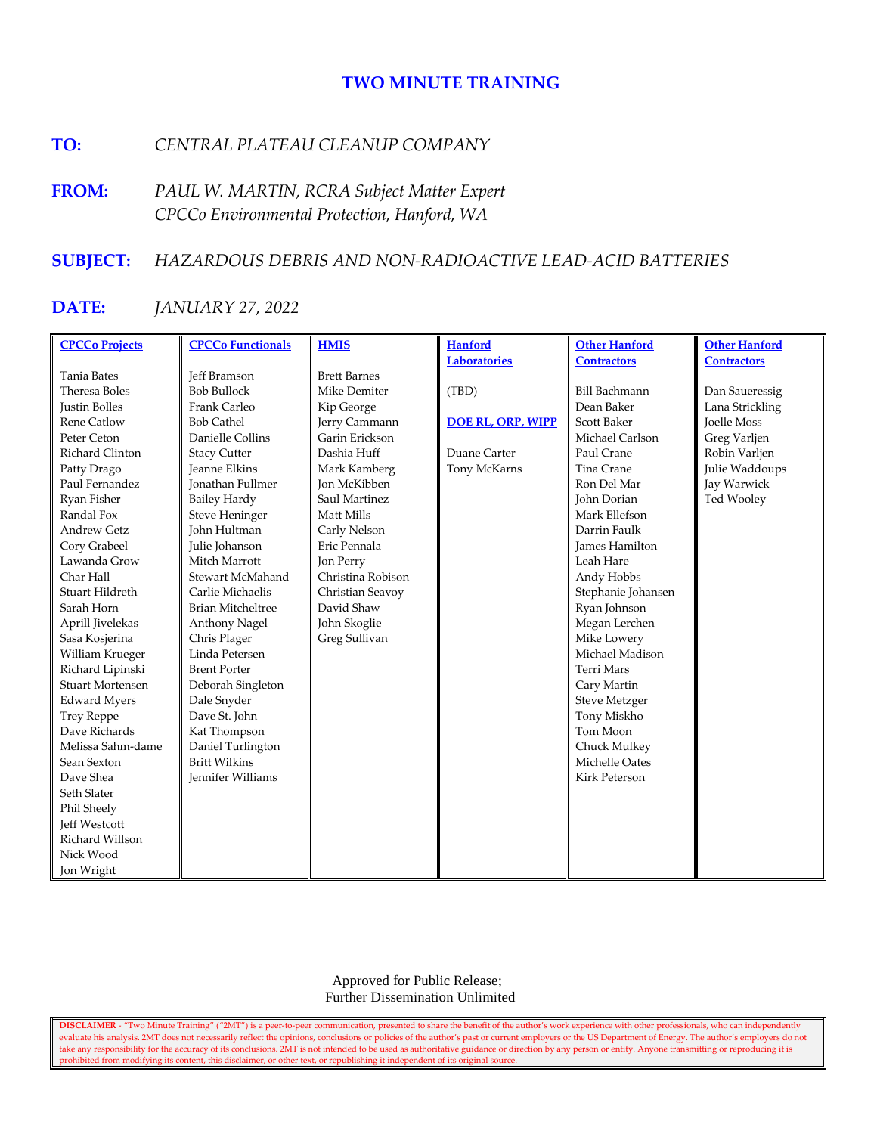# **TWO MINUTE TRAINING**

# **TO:** *CENTRAL PLATEAU CLEANUP COMPANY*

**FROM:** *PAUL W. MARTIN, RCRA Subject Matter Expert CPCCo Environmental Protection, Hanford, WA*

# **SUBJECT:** *HAZARDOUS DEBRIS AND NON-RADIOACTIVE LEAD-ACID BATTERIES*

# **DATE:** *JANUARY 27, 2022*

| <b>CPCCo Projects</b>   | <b>CPCCo Functionals</b> | <b>HMIS</b>         | <b>Hanford</b>           | <b>Other Hanford</b>  | <b>Other Hanford</b> |
|-------------------------|--------------------------|---------------------|--------------------------|-----------------------|----------------------|
|                         |                          |                     | <b>Laboratories</b>      | <b>Contractors</b>    | <b>Contractors</b>   |
| <b>Tania Bates</b>      | <b>Jeff Bramson</b>      | <b>Brett Barnes</b> |                          |                       |                      |
| Theresa Boles           | <b>Bob Bullock</b>       | Mike Demiter        | (TBD)                    | <b>Bill Bachmann</b>  | Dan Saueressig       |
| <b>Justin Bolles</b>    | Frank Carleo             | Kip George          |                          | Dean Baker            | Lana Strickling      |
| <b>Rene Catlow</b>      | <b>Bob Cathel</b>        | Jerry Cammann       | <b>DOE RL, ORP, WIPP</b> | <b>Scott Baker</b>    | <b>Joelle Moss</b>   |
| Peter Ceton             | Danielle Collins         | Garin Erickson      |                          | Michael Carlson       | Greg Varljen         |
| Richard Clinton         | <b>Stacy Cutter</b>      | Dashia Huff         | Duane Carter             | Paul Crane            | Robin Varljen        |
| Patty Drago             | <b>Jeanne Elkins</b>     | Mark Kamberg        | Tony McKarns             | Tina Crane            | Julie Waddoups       |
| Paul Fernandez          | <b>Jonathan Fullmer</b>  | <b>Jon McKibben</b> |                          | Ron Del Mar           | Jay Warwick          |
| Ryan Fisher             | <b>Bailey Hardy</b>      | Saul Martinez       |                          | John Dorian           | Ted Wooley           |
| Randal Fox              | <b>Steve Heninger</b>    | Matt Mills          |                          | Mark Ellefson         |                      |
| <b>Andrew Getz</b>      | John Hultman             | Carly Nelson        |                          | Darrin Faulk          |                      |
| Cory Grabeel            | Julie Johanson           | Eric Pennala        |                          | <b>James Hamilton</b> |                      |
| Lawanda Grow            | Mitch Marrott            | Jon Perry           |                          | Leah Hare             |                      |
| Char Hall               | Stewart McMahand         | Christina Robison   |                          | Andy Hobbs            |                      |
| Stuart Hildreth         | Carlie Michaelis         | Christian Seavoy    |                          | Stephanie Johansen    |                      |
| Sarah Horn              | <b>Brian Mitcheltree</b> | David Shaw          |                          | Ryan Johnson          |                      |
| Aprill Jivelekas        | Anthony Nagel            | John Skoglie        |                          | Megan Lerchen         |                      |
| Sasa Kosjerina          | Chris Plager             | Greg Sullivan       |                          | Mike Lowery           |                      |
| William Krueger         | Linda Petersen           |                     |                          | Michael Madison       |                      |
| Richard Lipinski        | <b>Brent Porter</b>      |                     |                          | <b>Terri Mars</b>     |                      |
| <b>Stuart Mortensen</b> | Deborah Singleton        |                     |                          | Cary Martin           |                      |
| <b>Edward Myers</b>     | Dale Snyder              |                     |                          | <b>Steve Metzger</b>  |                      |
| <b>Trey Reppe</b>       | Dave St. John            |                     |                          | Tony Miskho           |                      |
| Dave Richards           | Kat Thompson             |                     |                          | Tom Moon              |                      |
| Melissa Sahm-dame       | Daniel Turlington        |                     |                          | Chuck Mulkey          |                      |
| Sean Sexton             | <b>Britt Wilkins</b>     |                     |                          | Michelle Oates        |                      |
| Dave Shea               | <b>Jennifer Williams</b> |                     |                          | Kirk Peterson         |                      |
| Seth Slater             |                          |                     |                          |                       |                      |
| Phil Sheely             |                          |                     |                          |                       |                      |
| Jeff Westcott           |                          |                     |                          |                       |                      |
| Richard Willson         |                          |                     |                          |                       |                      |
| Nick Wood               |                          |                     |                          |                       |                      |
| Jon Wright              |                          |                     |                          |                       |                      |

 Approved for Public Release; Further Dissemination Unlimited

**DISCLAIMER** - "Two Minute Training" ("2MT") is a peer-to-peer communication, presented to share the benefit of the author's work experience with other professionals, who can independently evaluate his analysis. 2MT does not necessarily reflect the opinions, conclusions or policies of the author's past or current employers or the US Department of Energy. The author's employers do not take any responsibility for the accuracy of its conclusions. 2MT is not intended to be used as authoritative guidance or direction by any person or entity. Anyone transmitting or reproducing it is prohibited from modifying its content, this disclaimer, or other text, or republishing it independent of its original source.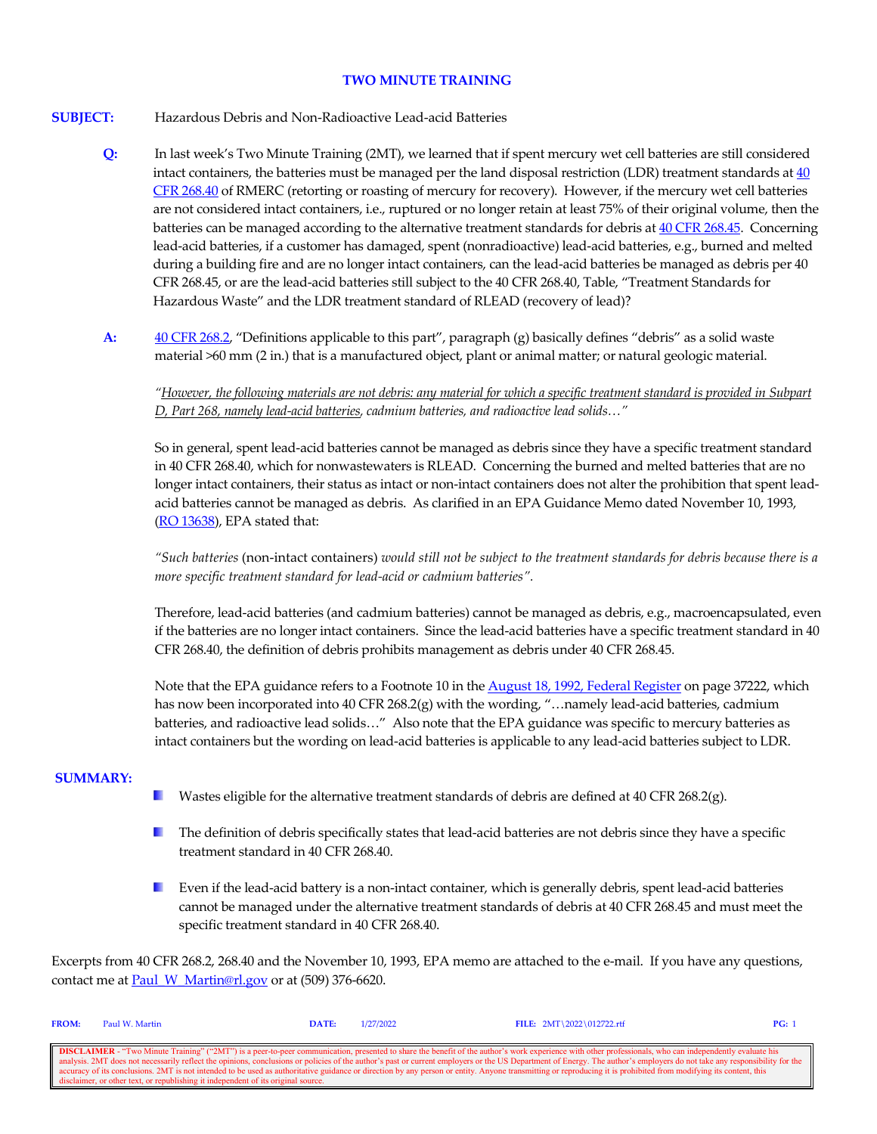## **TWO MINUTE TRAINING**

## **SUBJECT:** Hazardous Debris and Non-Radioactive Lead-acid Batteries

- **Q:** In last week's Two Minute Training (2MT), we learned that if spent mercury wet cell batteries are still considered intact containers, the batteries must be managed per the land disposal restriction (LDR) treatment standards at  $\frac{40}{1}$ [CFR 268.40](https://www.govinfo.gov/content/pkg/CFR-2020-title40-vol29/xml/CFR-2020-title40-vol29-sec268-40.xml) of RMERC (retorting or roasting of mercury for recovery). However, if the mercury wet cell batteries are not considered intact containers, i.e., ruptured or no longer retain at least 75% of their original volume, then the batteries can be managed according to the alternative treatment standards for debris a[t 40 CFR 268.45.](https://www.govinfo.gov/content/pkg/CFR-2020-title40-vol29/xml/CFR-2020-title40-vol29-sec268-45.xml) Concerning lead-acid batteries, if a customer has damaged, spent (nonradioactive) lead-acid batteries, e.g., burned and melted during a building fire and are no longer intact containers, can the lead-acid batteries be managed as debris per 40 CFR 268.45, or are the lead-acid batteries still subject to the 40 CFR 268.40, Table, "Treatment Standards for Hazardous Waste" and the LDR treatment standard of RLEAD (recovery of lead)?
- **A:** [40 CFR 268.2,](https://www.govinfo.gov/content/pkg/CFR-2020-title40-vol29/xml/CFR-2020-title40-vol29-sec268-2.xml) "Definitions applicable to this part", paragraph (g) basically defines "debris" as a solid waste material >60 mm (2 in.) that is a manufactured object, plant or animal matter; or natural geologic material.

*"However, the following materials are not debris: any material for which a specific treatment standard is provided in Subpart D, Part 268, namely lead-acid batteries, cadmium batteries, and radioactive lead solids…"*

So in general, spent lead-acid batteries cannot be managed as debris since they have a specific treatment standard in 40 CFR 268.40, which for nonwastewaters is RLEAD. Concerning the burned and melted batteries that are no longer intact containers, their status as intact or non-intact containers does not alter the prohibition that spent leadacid batteries cannot be managed as debris. As clarified in an EPA Guidance Memo dated November 10, 1993, [\(RO 13638\)](https://rcrapublic.epa.gov/rcraonline/details.xhtml?rcra=13638), EPA stated that:

*"Such batteries* (non-intact containers) *would still not be subject to the treatment standards for debris because there is a more specific treatment standard for lead-acid or cadmium batteries".*

Therefore, lead-acid batteries (and cadmium batteries) cannot be managed as debris, e.g., macroencapsulated, even if the batteries are no longer intact containers. Since the lead-acid batteries have a specific treatment standard in 40 CFR 268.40, the definition of debris prohibits management as debris under 40 CFR 268.45.

Note that the EPA guidance refers to a Footnote 10 in th[e August 18, 1992, Federal Register](https://www.govinfo.gov/content/pkg/FR-1992-08-18/pdf/FR-1992-08-18.pdf) on page 37222, which has now been incorporated into 40 CFR 268.2(g) with the wording, "...namely lead-acid batteries, cadmium batteries, and radioactive lead solids…" Also note that the EPA guidance was specific to mercury batteries as intact containers but the wording on lead-acid batteries is applicable to any lead-acid batteries subject to LDR.

### **SUMMARY:**

- Wastes eligible for the alternative treatment standards of debris are defined at 40 CFR 268.2(g). **The Contract of the Contract of the Contract of the Contract of the Contract of the Contract of The Contract of The Contract of The Contract of The Contract of The Contract of The Contract of The Contract of The Contract**
- **The definition of debris specifically states that lead-acid batteries are not debris since they have a specific** treatment standard in 40 CFR 268.40.
- Even if the lead-acid battery is a non-intact container, which is generally debris, spent lead-acid batteries cannot be managed under the alternative treatment standards of debris at 40 CFR 268.45 and must meet the specific treatment standard in 40 CFR 268.40.

Excerpts from 40 CFR 268.2, 268.40 and the November 10, 1993, EPA memo are attached to the e-mail. If you have any questions, contact me at **Paul\_W\_Martin@rl.gov** or at (509) 376-6620.

| <b>FROM:</b>                                                                                                                                                                                                             | Paul W. Martin | <b>DATE:</b> | 1/27/2022 | FILE: $2MT \ 2022 \ 012722.rtf$                                                                                                                                                                                  | PG: |
|--------------------------------------------------------------------------------------------------------------------------------------------------------------------------------------------------------------------------|----------------|--------------|-----------|------------------------------------------------------------------------------------------------------------------------------------------------------------------------------------------------------------------|-----|
|                                                                                                                                                                                                                          |                |              |           |                                                                                                                                                                                                                  |     |
|                                                                                                                                                                                                                          |                |              |           | <b>DISCLAIMER</b> - "Two Minute Training" ("2MT") is a peer-to-peer communication, presented to share the benefit of the author's work experience with other professionals, who can independently evaluate his   |     |
| analysis. 2MT does not necessarily reflect the opinions, conclusions or policies of the author's past or current employers or the US Department of Energy. The author's employers do not take any responsibility for the |                |              |           |                                                                                                                                                                                                                  |     |
|                                                                                                                                                                                                                          |                |              |           | cecuracy of its conclusions. 2MT is not intended to be used as authoritative guidance or direction by any person or entity. Anyone transmitting or reproducing it is prohibited from modifying its content, this |     |
| disclaimer, or other text, or republishing it independent of its original source.                                                                                                                                        |                |              |           |                                                                                                                                                                                                                  |     |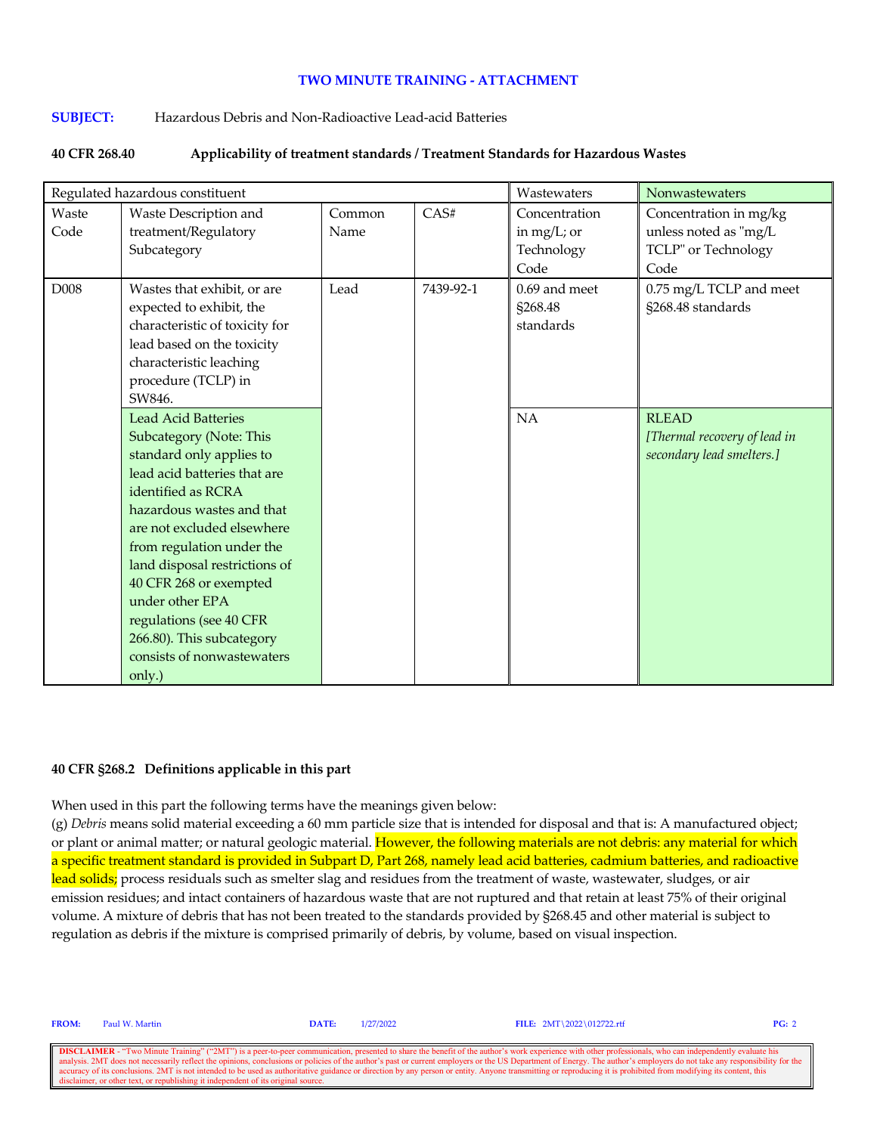# **TWO MINUTE TRAINING - ATTACHMENT**

## **SUBJECT:** Hazardous Debris and Non-Radioactive Lead-acid Batteries

### **40 CFR 268.40 Applicability of treatment standards / Treatment Standards for Hazardous Wastes**

| Regulated hazardous constituent |                                                                                                                                                                                                                                                                                                                                                                                                                      |                |           | Wastewaters                                        | Nonwastewaters                                                                 |
|---------------------------------|----------------------------------------------------------------------------------------------------------------------------------------------------------------------------------------------------------------------------------------------------------------------------------------------------------------------------------------------------------------------------------------------------------------------|----------------|-----------|----------------------------------------------------|--------------------------------------------------------------------------------|
| Waste<br>Code                   | Waste Description and<br>treatment/Regulatory<br>Subcategory                                                                                                                                                                                                                                                                                                                                                         | Common<br>Name | CAS#      | Concentration<br>in mg/L; or<br>Technology<br>Code | Concentration in mg/kg<br>unless noted as "mg/L<br>TCLP" or Technology<br>Code |
| D008                            | Wastes that exhibit, or are<br>expected to exhibit, the<br>characteristic of toxicity for<br>lead based on the toxicity<br>characteristic leaching<br>procedure (TCLP) in<br>SW846.                                                                                                                                                                                                                                  | Lead           | 7439-92-1 | $0.69$ and meet<br>§268.48<br>standards            | 0.75 mg/L TCLP and meet<br>§268.48 standards                                   |
|                                 | <b>Lead Acid Batteries</b><br><b>Subcategory (Note: This</b><br>standard only applies to<br>lead acid batteries that are<br>identified as RCRA<br>hazardous wastes and that<br>are not excluded elsewhere<br>from regulation under the<br>land disposal restrictions of<br>40 CFR 268 or exempted<br>under other EPA<br>regulations (see 40 CFR<br>266.80). This subcategory<br>consists of nonwastewaters<br>only.) |                |           | NA                                                 | <b>RLEAD</b><br>[Thermal recovery of lead in<br>secondary lead smelters.]      |

### **40 CFR §268.2 Definitions applicable in this part**

When used in this part the following terms have the meanings given below:

(g) *Debris* means solid material exceeding a 60 mm particle size that is intended for disposal and that is: A manufactured object; or plant or animal matter; or natural geologic material. However, the following materials are not debris: any material for which a specific treatment standard is provided in Subpart D, Part 268, namely lead acid batteries, cadmium batteries, and radioactive lead solids; process residuals such as smelter slag and residues from the treatment of waste, wastewater, sludges, or air emission residues; and intact containers of hazardous waste that are not ruptured and that retain at least 75% of their original volume. A mixture of debris that has not been treated to the standards provided by §268.45 and other material is subject to regulation as debris if the mixture is comprised primarily of debris, by volume, based on visual inspection.

**FROM:** Paul W. Martin **DATE:** 1/27/2022 **FILE:** 2MT\2022\012722.rtf **PG:** 2

**DISCLAIMER** - "Two Minute Training" ("2MT") is a peer-to-peer communication, presented to share the benefit of the author's work experience with other professionals, who can independently evaluate his analysis. 2MT does n analysis. 2MT does not necessarily reflect the opinions, conclusions or policies of the author's past or current employers or the US Department of Energy. The author's employers do not take any responsibility for the US De discussed the control of the text, or republishing it independent or  $\frac{1}{2}$